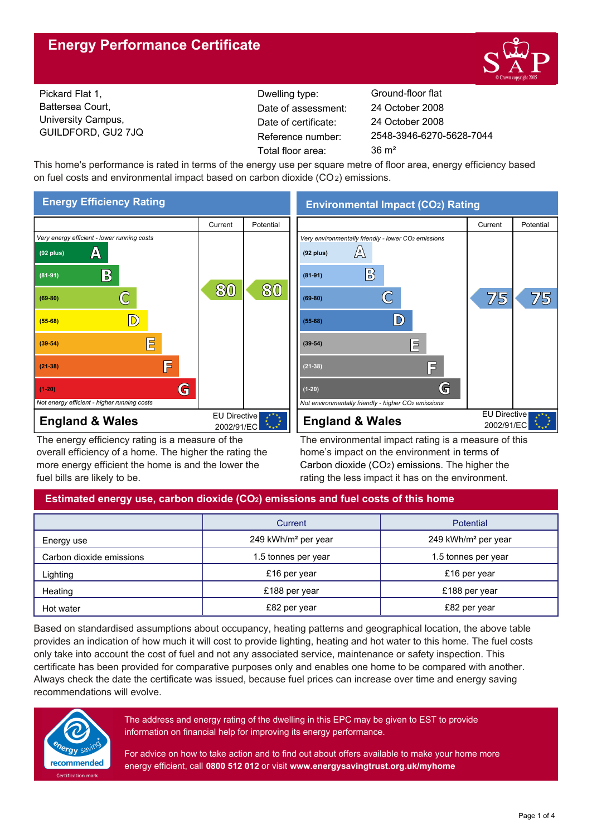# **Energy Performance Certificate**



Pickard Flat 1, Battersea Court, University Campus, GUILDFORD, GU2 7JQ

Dwelling type: Ground-floor flat Date of certificate: Total floor area: 36 m<sup>2</sup> Date of assessment:

2548-3946-6270-5628-7044 24 October 2008 24 October 2008

This home's performance is rated in terms of the energy use per square metre of floor area, energy efficiency based on fuel costs and environmental impact based on carbon dioxide (CO2) emissions.



The energy efficiency rating is a measure of the overall efficiency of a home. The higher the rating the more energy efficient the home is and the lower the fuel bills are likely to be.

**Environmental Impact (CO2) Rating**



The environmental impact rating is a measure of this home's impact on the environment in terms of Carbon dioxide (CO2) emissions. The higher the rating the less impact it has on the environment.

## **Estimated energy use, carbon dioxide (CO2) emissions and fuel costs of this home**

|                          | Current                         | Potential                       |  |
|--------------------------|---------------------------------|---------------------------------|--|
| Energy use               | 249 kWh/m <sup>2</sup> per year | 249 kWh/m <sup>2</sup> per year |  |
| Carbon dioxide emissions | 1.5 tonnes per year             | 1.5 tonnes per year             |  |
| Lighting                 | £16 per year                    | £16 per year                    |  |
| Heating                  | £188 per year                   | £188 per year                   |  |
| Hot water                | £82 per year                    | £82 per year                    |  |

Based on standardised assumptions about occupancy, heating patterns and geographical location, the above table provides an indication of how much it will cost to provide lighting, heating and hot water to this home. The fuel costs only take into account the cost of fuel and not any associated service, maintenance or safety inspection. This certificate has been provided for comparative purposes only and enables one home to be compared with another. Always check the date the certificate was issued, because fuel prices can increase over time and energy saving recommendations will evolve.



The address and energy rating of the dwelling in this EPC may be given to EST to provide information on financial help for improving its energy performance.

For advice on how to take action and to find out about offers available to make your home more energy efficient, call **0800 512 012** or visit **www.energysavingtrust.org.uk/myhome**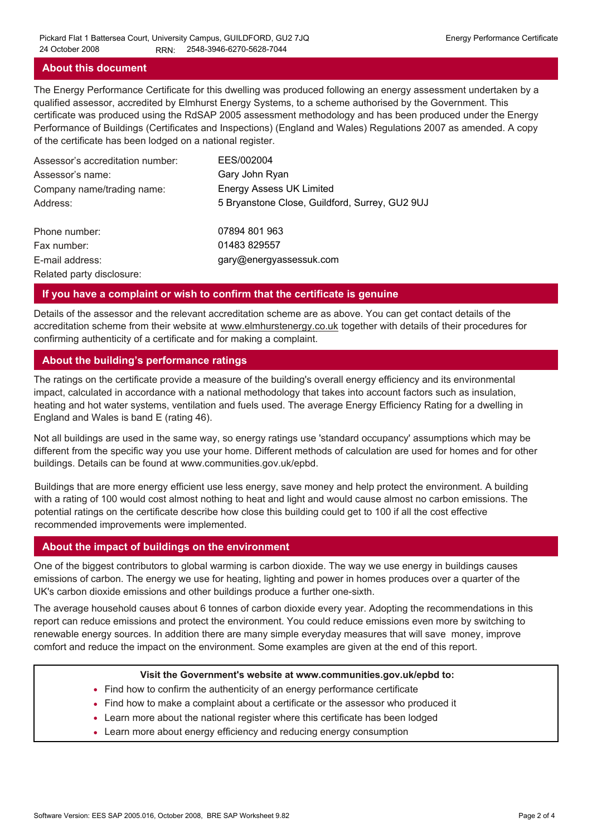#### **About this document**

The Energy Performance Certificate for this dwelling was produced following an energy assessment undertaken by a qualified assessor, accredited by Elmhurst Energy Systems, to a scheme authorised by the Government. This certificate was produced using the RdSAP 2005 assessment methodology and has been produced under the Energy Performance of Buildings (Certificates and Inspections) (England and Wales) Regulations 2007 as amended. A copy of the certificate has been lodged on a national register.

| Assessor's accreditation number: | EES/002004                                     |
|----------------------------------|------------------------------------------------|
| Assessor's name:                 | Gary John Ryan                                 |
| Company name/trading name:       | <b>Energy Assess UK Limited</b>                |
| Address:                         | 5 Bryanstone Close, Guildford, Surrey, GU2 9UJ |
| Phone number:                    | 07894 801 963                                  |
| Fax number:                      | 01483 829557                                   |
| E-mail address:                  | gary@energyassessuk.com                        |
| Related party disclosure:        |                                                |

#### **If you have a complaint or wish to confirm that the certificate is genuine**

Details of the assessor and the relevant accreditation scheme are as above. You can get contact details of the accreditation scheme from their website at www.elmhurstenergy.co.uk together with details of their procedures for confirming authenticity of a certificate and for making a complaint.

### **About the building's performance ratings**

The ratings on the certificate provide a measure of the building's overall energy efficiency and its environmental impact, calculated in accordance with a national methodology that takes into account factors such as insulation, heating and hot water systems, ventilation and fuels used. The average Energy Efficiency Rating for a dwelling in England and Wales is band E (rating 46).

Not all buildings are used in the same way, so energy ratings use 'standard occupancy' assumptions which may be different from the specific way you use your home. Different methods of calculation are used for homes and for other buildings. Details can be found at www.communities.gov.uk/epbd.

Buildings that are more energy efficient use less energy, save money and help protect the environment. A building with a rating of 100 would cost almost nothing to heat and light and would cause almost no carbon emissions. The potential ratings on the certificate describe how close this building could get to 100 if all the cost effective recommended improvements were implemented.

#### **About the impact of buildings on the environment**

One of the biggest contributors to global warming is carbon dioxide. The way we use energy in buildings causes emissions of carbon. The energy we use for heating, lighting and power in homes produces over a quarter of the UK's carbon dioxide emissions and other buildings produce a further one-sixth.

The average household causes about 6 tonnes of carbon dioxide every year. Adopting the recommendations in this report can reduce emissions and protect the environment. You could reduce emissions even more by switching to renewable energy sources. In addition there are many simple everyday measures that will save money, improve comfort and reduce the impact on the environment. Some examples are given at the end of this report.

#### **Visit the Government's website at www.communities.gov.uk/epbd to:**

- Find how to confirm the authenticity of an energy performance certificate
- Find how to make a complaint about a certificate or the assessor who produced it •
- Learn more about the national register where this certificate has been lodged •
- Learn more about energy efficiency and reducing energy consumption •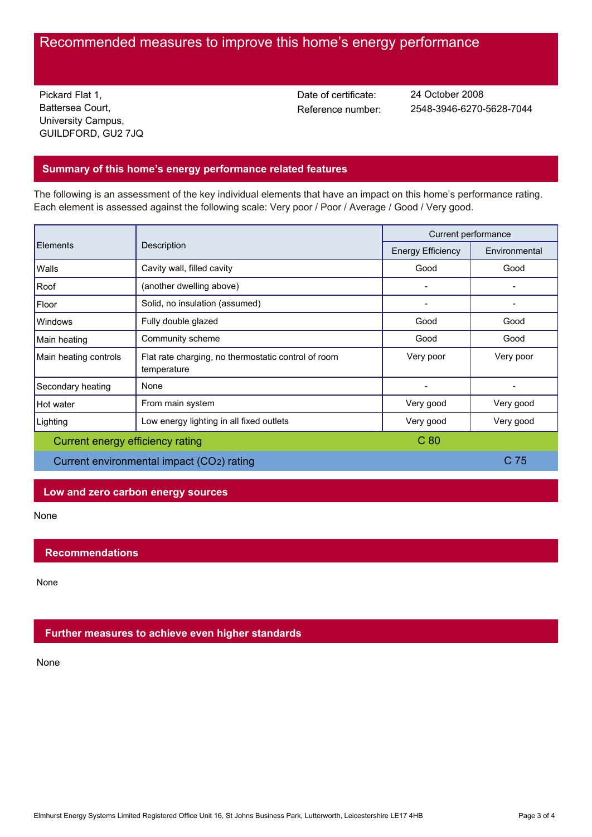# Recommended measures to improve this home's energy performance

Pickard Flat 1, Battersea Court, University Campus, GUILDFORD, GU2 7JQ Date of certificate:

Reference number: 2548-3946-6270-5628-7044 24 October 2008

## **Summary of this home's energy performance related features**

The following is an assessment of the key individual elements that have an impact on this home's performance rating. Each element is assessed against the following scale: Very poor / Poor / Average / Good / Very good.

| Elements                                  | Description                                                        | Current performance      |               |
|-------------------------------------------|--------------------------------------------------------------------|--------------------------|---------------|
|                                           |                                                                    | <b>Energy Efficiency</b> | Environmental |
| Walls                                     | Cavity wall, filled cavity                                         | Good                     | Good          |
| Roof                                      | (another dwelling above)                                           |                          |               |
| Floor                                     | Solid, no insulation (assumed)                                     |                          |               |
| Windows                                   | Fully double glazed                                                | Good                     | Good          |
| Main heating                              | Community scheme                                                   | Good                     | Good          |
| Main heating controls                     | Flat rate charging, no thermostatic control of room<br>temperature | Very poor                | Very poor     |
| Secondary heating                         | None                                                               |                          |               |
| Hot water                                 | From main system                                                   | Very good                | Very good     |
| Lighting                                  | Low energy lighting in all fixed outlets                           | Very good                | Very good     |
| Current energy efficiency rating          |                                                                    | C <sub>80</sub>          |               |
| Current environmental impact (CO2) rating |                                                                    |                          | C 75          |

## **Low and zero carbon energy sources**

None

## **Recommendations**

None

## **Further measures to achieve even higher standards**

None